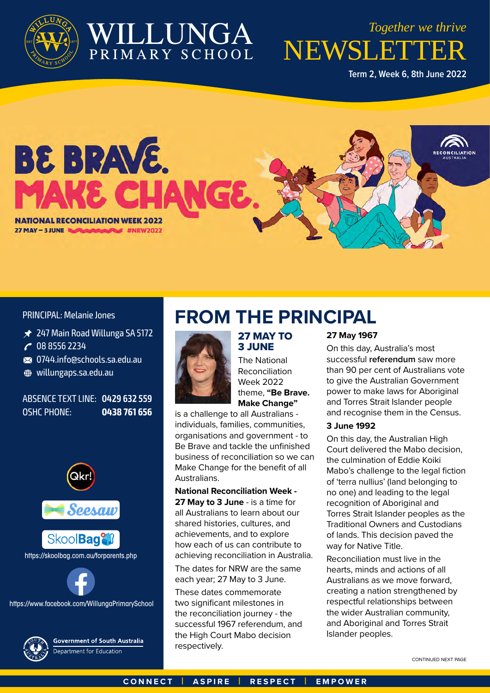

# WILLUNGA

NEWSLETTER *Together we thrive*

**Term 2, Week 6, 8th June 2022**



PRINCIPAL: Melanie Jones

- **★ 247 Main Road Willunga SA 5172**
- **v** 08 8556 2234
- **a** 0744.info@schools.sa.edu.au
- **O** willungaps.sa.edu.au

#### ABSENCE TEXT LINE: **0429 632 559** OSHC PHONE: **0438 761 656**



Skool**Bag<sup>9</sup>il** 

#### https://skoolbag.com.au/forparents.php

https://www.facebook.com/WillungaPrimarySchool



**Government of South Australia** Department for Education

### **FROM THE PRINCIPAL**



### 27 MAY TO 3 JUNE

The National Reconciliation Week 2022 theme, **"Be Brave. Make Change"** 

is a challenge to all Australians individuals, families, communities, organisations and government - to Be Brave and tackle the unfinished business of reconciliation so we can Make Change for the benefit of all **Australians** 

#### **National Reconciliation Week -**

**27 May to 3 June** - is a time for all Australians to learn about our shared histories, cultures, and achievements, and to explore how each of us can contribute to achieving reconciliation in Australia.

The dates for NRW are the same each year; 27 May to 3 June.

These dates commemorate two significant milestones in the reconciliation journey - the successful 1967 referendum, and the High Court Mabo decision respectively.

#### **27 May 1967**

On this day, Australia's most successful **referendum** saw more than 90 per cent of Australians vote to give the Australian Government power to make laws for Aboriginal and Torres Strait Islander people and recognise them in the Census.

#### **3 June 1992**

On this day, the Australian High Court delivered the Mabo decision, the culmination of Eddie Koiki Mabo's challenge to the legal fiction of 'terra nullius' (land belonging to no one) and leading to the legal recognition of Aboriginal and Torres Strait Islander peoples as the Traditional Owners and Custodians of lands. This decision paved the way for Native Title.

Reconciliation must live in the hearts, minds and actions of all Australians as we move forward, creating a nation strengthened by respectful relationships between the wider Australian community, and Aboriginal and Torres Strait Islander peoples.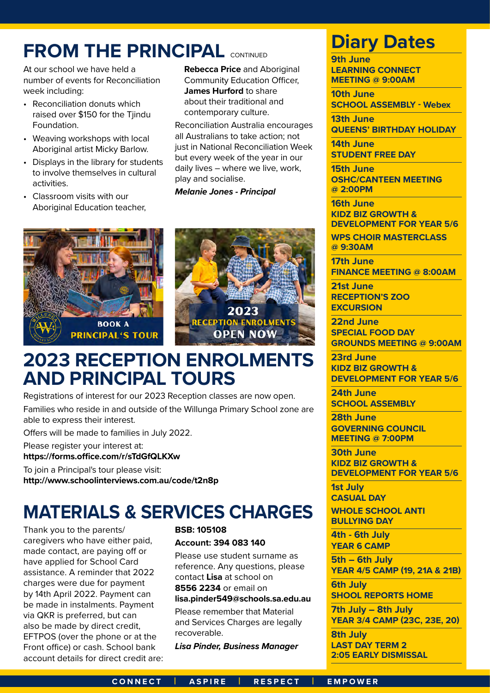# **FROM THE PRINCIPAL CONTINUED**

At our school we have held a number of events for Reconciliation week including:

- Reconciliation donuts which raised over \$150 for the Tjindu Foundation.
- Weaving workshops with local Aboriginal artist Micky Barlow.
- Displays in the library for students to involve themselves in cultural activities.
- Classroom visits with our Aboriginal Education teacher,

**Rebecca Price and Aboriginal** Community Education Officer, **James Hurford** to share about their traditional and contemporary culture.

Reconciliation Australia encourages all Australians to take action; not just in National Reconciliation Week but every week of the year in our daily lives – where we live, work, play and socialise.

*Melanie Jones - Principal*





### **2023 RECEPTION ENROLMENTS AND PRINCIPAL TOURS**

Registrations of interest for our 2023 Reception classes are now open. Families who reside in and outside of the Willunga Primary School zone are able to express their interest.

Offers will be made to families in July 2022.

Please register your interest at:

**https://forms.office.com/r/sTdGfQLKXw**

To join a Principal's tour please visit: **http://www.schoolinterviews.com.au/code/t2n8p**

# **MATERIALS & SERVICES CHARGES**

Thank you to the parents/ caregivers who have either paid, made contact, are paying off or have applied for School Card assistance. A reminder that 2022 charges were due for payment by 14th April 2022. Payment can be made in instalments. Payment via QKR is preferred, but can also be made by direct credit, EFTPOS (over the phone or at the Front office) or cash. School bank account details for direct credit are:

### **BSB: 105108 Account: 394 083 140**

Please use student surname as reference. Any questions, please contact **Lisa** at school on **8556 2234** or email on **lisa.pinder549@schools.sa.edu.au**

Please remember that Material and Services Charges are legally recoverable.

*Lisa Pinder, Business Manager*

### **Diary Dates**

**9th June LEARNING CONNECT MEETING @ 9:00AM**

**10th June SCHOOL ASSEMBLY - Webex**

**13th June QUEENS' BIRTHDAY HOLIDAY**

**14th June STUDENT FREE DAY**

**15th June OSHC/CANTEEN MEETING @ 2:00PM**

**16th June KIDZ BIZ GROWTH & DEVELOPMENT FOR YEAR 5/6**

**WPS CHOIR MASTERCLASS @ 9:30AM**

**17th June FINANCE MEETING @ 8:00AM**

**21st June RECEPTION'S ZOO EXCURSION**

**22nd June SPECIAL FOOD DAY GROUNDS MEETING @ 9:00AM**

**23rd June KIDZ BIZ GROWTH & DEVELOPMENT FOR YEAR 5/6**

**24th June SCHOOL ASSEMBLY**

**28th June GOVERNING COUNCIL MEETING @ 7:00PM**

**30th June KIDZ BIZ GROWTH & DEVELOPMENT FOR YEAR 5/6**

**1st July CASUAL DAY**

**WHOLE SCHOOL ANTI BULLYING DAY**

**4th - 6th July YEAR 6 CAMP**

**5th – 6th July YEAR 4/5 CAMP (19, 21A & 21B)**

**6th July SHOOL REPORTS HOME**

**7th July – 8th July YEAR 3/4 CAMP (23C, 23E, 20)**

**8th July LAST DAY TERM 2 2:05 EARLY DISMISSAL**

#### **CONNECT | ASPIRE | RESPECT | EMPOWER**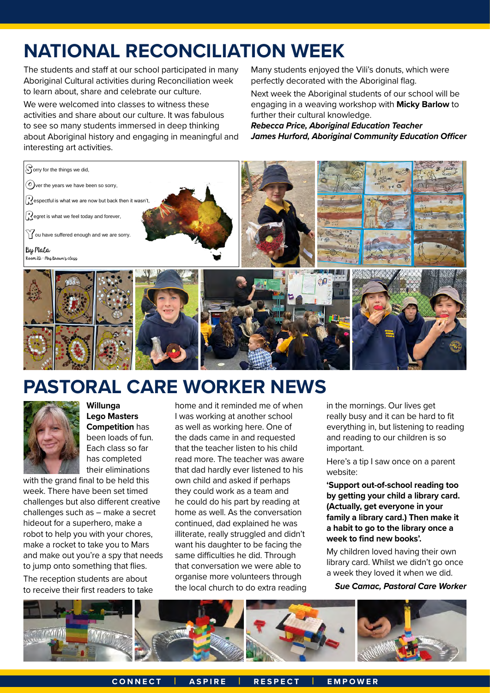# **NATIONAL RECONCILIATION WEEK**

The students and staff at our school participated in many Aboriginal Cultural activities during Reconciliation week to learn about, share and celebrate our culture.

We were welcomed into classes to witness these activities and share about our culture. It was fabulous to see so many students immersed in deep thinking about Aboriginal history and engaging in meaningful and interesting art activities.

Many students enjoyed the Vili's donuts, which were perfectly decorated with the Aboriginal flag.

Next week the Aboriginal students of our school will be engaging in a weaving workshop with **Micky Barlow** to further their cultural knowledge.

*Rebecca Price, Aboriginal Education Teacher James Hurford, Aboriginal Community Education Officer*



# **PASTORAL CARE WORKER NEWS**



**Willunga Lego Masters Competition** has been loads of fun. Each class so far has completed their eliminations

with the grand final to be held this week. There have been set timed challenges but also different creative challenges such as – make a secret hideout for a superhero, make a robot to help you with your chores, make a rocket to take you to Mars and make out you're a spy that needs to jump onto something that flies.

The reception students are about to receive their first readers to take

home and it reminded me of when I was working at another school as well as working here. One of the dads came in and requested that the teacher listen to his child read more. The teacher was aware that dad hardly ever listened to his own child and asked if perhaps they could work as a team and he could do his part by reading at home as well. As the conversation continued, dad explained he was illiterate, really struggled and didn't want his daughter to be facing the same difficulties he did. Through that conversation we were able to organise more volunteers through the local church to do extra reading

in the mornings. Our lives get really busy and it can be hard to fit everything in, but listening to reading and reading to our children is so important.

Here's a tip I saw once on a parent website:

**'Support out-of-school reading too by getting your child a library card. (Actually, get everyone in your family a library card.) Then make it a habit to go to the library once a week to find new books'.**

My children loved having their own library card. Whilst we didn't go once a week they loved it when we did. *Sue Camac, Pastoral Care Worker*

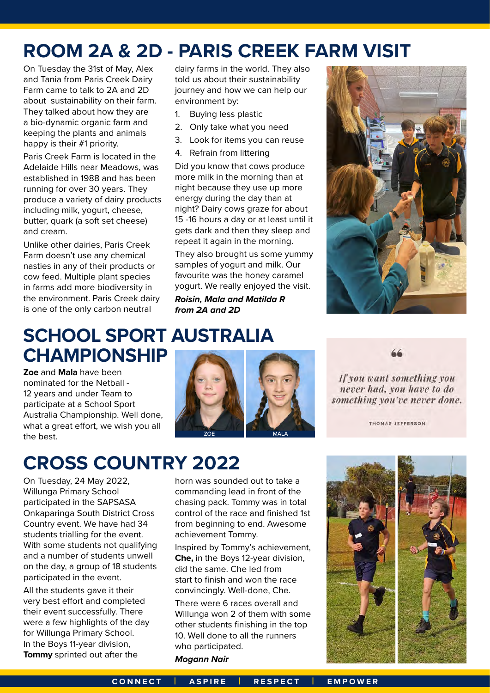### **ROOM 2A & 2D - PARIS CREEK FARM VISIT**

On Tuesday the 31st of May, Alex and Tania from Paris Creek Dairy Farm came to talk to 2A and 2D about sustainability on their farm. They talked about how they are a bio-dynamic organic farm and keeping the plants and animals happy is their #1 priority.

Paris Creek Farm is located in the Adelaide Hills near Meadows, was established in 1988 and has been running for over 30 years. They produce a variety of dairy products including milk, yogurt, cheese, butter, quark (a soft set cheese) and cream.

Unlike other dairies, Paris Creek Farm doesn't use any chemical nasties in any of their products or cow feed. Multiple plant species in farms add more biodiversity in the environment. Paris Creek dairy is one of the only carbon neutral

### **SCHOOL SPORT AUSTRALIA CHAMPIONSHIP**

**Zoe** and **Mala** have been nominated for the Netball - 12 years and under Team to participate at a School Sport Australia Championship. Well done, what a great effort, we wish you all the best.

# **CROSS COUNTRY 2022**

On Tuesday, 24 May 2022, Willunga Primary School participated in the SAPSASA Onkaparinga South District Cross Country event. We have had 34 students trialling for the event. With some students not qualifying and a number of students unwell on the day, a group of 18 students participated in the event.

All the students gave it their very best effort and completed their event successfully. There were a few highlights of the day for Willunga Primary School. In the Boys 11-year division, **Tommy** sprinted out after the

dairy farms in the world. They also told us about their sustainability journey and how we can help our environment by:

- 1. Buying less plastic
- 2. Only take what you need
- 3. Look for items you can reuse
- 4. Refrain from littering

Did you know that cows produce more milk in the morning than at night because they use up more energy during the day than at night? Dairy cows graze for about 15 -16 hours a day or at least until it gets dark and then they sleep and repeat it again in the morning.

They also brought us some yummy samples of yogurt and milk. Our favourite was the honey caramel yogurt. We really enjoyed the visit.

*Roisin, Mala and Matilda R from 2A and 2D*



66

If you want something you never had, you have to do something you've never done.

THOMAS JEFFERSON

### horn was sounded out to take a commanding lead in front of the chasing pack. Tommy was in total control of the race and finished 1st from beginning to end. Awesome achievement Tommy.

ZOE MALA

Inspired by Tommy's achievement, **Che,** in the Boys 12-year division, did the same. Che led from start to finish and won the race convincingly. Well-done, Che.

There were 6 races overall and Willunga won 2 of them with some other students finishing in the top 10. Well done to all the runners who participated.

*Mogann Nair*